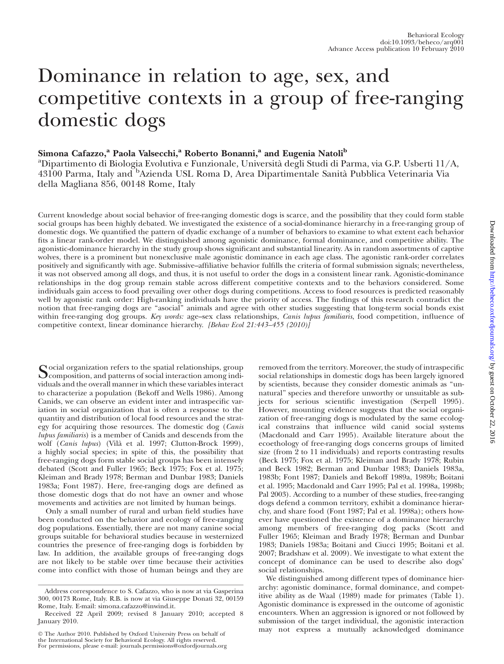# Dominance in relation to age, sex, and competitive contexts in a group of free-ranging domestic dogs

# Simona Cafazzo,<sup>a</sup> Paola Valsecchi,<sup>a</sup> Roberto Bonanni,<sup>a</sup> and Eugenia Natoli<sup>b</sup>

a Dipartimento di Biologia Evolutiva e Funzionale, Universita` degli Studi di Parma, via G.P. Usberti 11/A, 43100 Parma, Italy and <sup>b</sup>Azienda USL Roma D, Area Dipartimentale Sanità Pubblica Veterinaria Via della Magliana 856, 00148 Rome, Italy

Current knowledge about social behavior of free-ranging domestic dogs is scarce, and the possibility that they could form stable social groups has been highly debated. We investigated the existence of a social-dominance hierarchy in a free-ranging group of domestic dogs. We quantified the pattern of dyadic exchange of a number of behaviors to examine to what extent each behavior fits a linear rank-order model. We distinguished among agonistic dominance, formal dominance, and competitive ability. The agonistic-dominance hierarchy in the study group shows significant and substantial linearity. As in random assortments of captive wolves, there is a prominent but nonexclusive male agonistic dominance in each age class. The agonistic rank-order correlates positively and significantly with age. Submissive–affiliative behavior fulfills the criteria of formal submission signals; nevertheless, it was not observed among all dogs, and thus, it is not useful to order the dogs in a consistent linear rank. Agonistic-dominance relationships in the dog group remain stable across different competitive contexts and to the behaviors considered. Some individuals gain access to food prevailing over other dogs during competitions. Access to food resources is predicted reasonably well by agonistic rank order: High-ranking individuals have the priority of access. The findings of this research contradict the notion that free-ranging dogs are ''asocial'' animals and agree with other studies suggesting that long-term social bonds exist within free-ranging dog groups. Key words: age–sex class relationships, Canis lupus familiaris, food competition, influence of competitive context, linear dominance hierarchy. [Behav Ecol 21:443–455 (2010)]

Social organization refers to the spatial relationships, group<br>composition, and patterns of social interaction among individuals and the overall manner in which these variables interact to characterize a population (Bekoff and Wells 1986). Among Canids, we can observe an evident inter and intraspecific variation in social organization that is often a response to the quantity and distribution of local food resources and the strategy for acquiring those resources. The domestic dog (Canis lupus familiaris) is a member of Canids and descends from the wolf (Canis lupus) (Vila` et al. 1997; Clutton-Brock 1999), a highly social species; in spite of this, the possibility that free-ranging dogs form stable social groups has been intensely debated (Scott and Fuller 1965; Beck 1975; Fox et al. 1975; Kleiman and Brady 1978; Berman and Dunbar 1983; Daniels 1983a; Font 1987). Here, free-ranging dogs are defined as those domestic dogs that do not have an owner and whose movements and activities are not limited by human beings.

Only a small number of rural and urban field studies have been conducted on the behavior and ecology of free-ranging dog populations. Essentially, there are not many canine social groups suitable for behavioral studies because in westernized countries the presence of free-ranging dogs is forbidden by law. In addition, the available groups of free-ranging dogs are not likely to be stable over time because their activities come into conflict with those of human beings and they are

 The Author 2010. Published by Oxford University Press on behalf of the International Society for Behavioral Ecology. All rights reserved. For permissions, please e-mail: journals.permissions@oxfordjournals.org removed from the territory. Moreover, the study of intraspecific social relationships in domestic dogs has been largely ignored by scientists, because they consider domestic animals as ''unnatural'' species and therefore unworthy or unsuitable as subjects for serious scientific investigation (Serpell 1995). However, mounting evidence suggests that the social organization of free-ranging dogs is modulated by the same ecological constrains that influence wild canid social systems (Macdonald and Carr 1995). Available literature about the ecoethology of free-ranging dogs concerns groups of limited size (from 2 to 11 individuals) and reports contrasting results (Beck 1975; Fox et al. 1975; Kleiman and Brady 1978; Rubin and Beck 1982; Berman and Dunbar 1983; Daniels 1983a, 1983b; Font 1987; Daniels and Bekoff 1989a, 1989b; Boitani et al. 1995; Macdonald and Carr 1995; Pal et al. 1998a, 1998b; Pal 2003). According to a number of these studies, free-ranging dogs defend a common territory, exhibit a dominance hierarchy, and share food (Font 1987; Pal et al. 1998a); others however have questioned the existence of a dominance hierarchy among members of free-ranging dog packs (Scott and Fuller 1965; Kleiman and Brady 1978; Berman and Dunbar 1983; Daniels 1983a; Boitani and Ciucci 1995; Boitani et al. 2007; Bradshaw et al. 2009). We investigate to what extent the concept of dominance can be used to describe also dogs' social relationships.

We distinguished among different types of dominance hierarchy: agonistic dominance, formal dominance, and competitive ability as de Waal (1989) made for primates (Table 1). Agonistic dominance is expressed in the outcome of agonistic encounters. When an aggression is ignored or not followed by submission of the target individual, the agonistic interaction may not express a mutually acknowledged dominance

Address correspondence to S. Cafazzo, who is now at via Gasperina 300, 00173 Rome, Italy. R.B. is now at via Giuseppe Donati 32, 00159 Rome, Italy. E-mail: simona.cafazzo@inwind.it.

Received 22 April 2009; revised 8 January 2010; accepted 8 January 2010.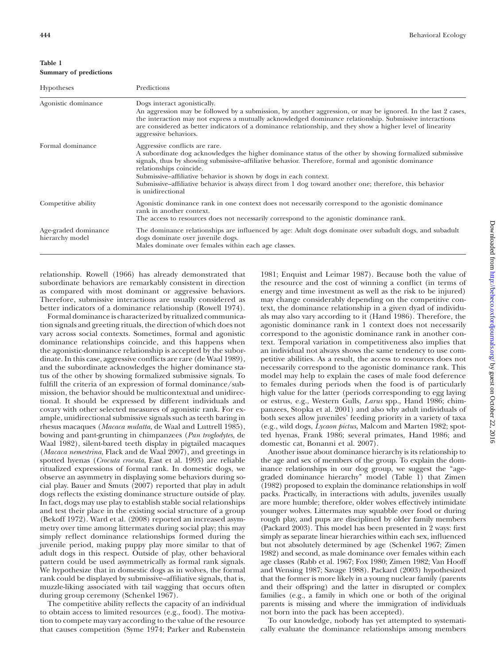| Table 1 |                               |
|---------|-------------------------------|
|         | <b>Summary of predictions</b> |

| Hypotheses                              | Predictions                                                                                                                                                                                                                                                                                                                                                                                                                                                                        |
|-----------------------------------------|------------------------------------------------------------------------------------------------------------------------------------------------------------------------------------------------------------------------------------------------------------------------------------------------------------------------------------------------------------------------------------------------------------------------------------------------------------------------------------|
| Agonistic dominance                     | Dogs interact agonistically.<br>An aggression may be followed by a submission, by another aggression, or may be ignored. In the last 2 cases,<br>the interaction may not express a mutually acknowledged dominance relationship. Submissive interactions<br>are considered as better indicators of a dominance relationship, and they show a higher level of linearity<br>aggressive behaviors.                                                                                    |
| Formal dominance                        | Aggressive conflicts are rare.<br>A subordinate dog acknowledges the higher dominance status of the other by showing formalized submissive<br>signals, thus by showing submissive–affiliative behavior. Therefore, formal and agonistic dominance<br>relationships coincide.<br>Submissive–affiliative behavior is shown by dogs in each context.<br>Submissive–affiliative behavior is always direct from 1 dog toward another one; therefore, this behavior<br>is unidirectional |
| Competitive ability                     | Agonistic dominance rank in one context does not necessarily correspond to the agonistic dominance<br>rank in another context.<br>The access to resources does not necessarily correspond to the agonistic dominance rank.                                                                                                                                                                                                                                                         |
| Age-graded dominance<br>hierarchy model | The dominance relationships are influenced by age: Adult dogs dominate over subadult dogs, and subadult<br>dogs dominate over juvenile dogs.<br>Males dominate over females within each age classes.                                                                                                                                                                                                                                                                               |

relationship. Rowell (1966) has already demonstrated that subordinate behaviors are remarkably consistent in direction as compared with most dominant or aggressive behaviors. Therefore, submissive interactions are usually considered as better indicators of a dominance relationship (Rowell 1974).

Formal dominance is characterized by ritualized communication signals and greeting rituals, the direction of which does not vary across social contexts. Sometimes, formal and agonistic dominance relationships coincide, and this happens when the agonistic-dominance relationship is accepted by the subordinate. In this case, aggressive conflicts are rare (de Waal 1989), and the subordinate acknowledges the higher dominance status of the other by showing formalized submissive signals. To fulfill the criteria of an expression of formal dominance/submission, the behavior should be multicontextual and unidirectional. It should be expressed by different individuals and covary with other selected measures of agonistic rank. For example, unidirectional submissive signals such as teeth baring in rhesus macaques (Macaca mulatta, de Waal and Luttrell 1985), bowing and pant-grunting in chimpanzees (Pan troglodytes, de Waal 1982), silent-bared teeth display in pigtailed macaques (Macaca nemestrina, Flack and de Waal 2007), and greetings in spotted hyenas (Crocuta crocuta, East et al. 1993) are reliable ritualized expressions of formal rank. In domestic dogs, we observe an asymmetry in displaying some behaviors during social play. Bauer and Smuts (2007) reported that play in adult dogs reflects the existing dominance structure outside of play. In fact, dogs may use play to establish stable social relationships and test their place in the existing social structure of a group (Bekoff 1972). Ward et al. (2008) reported an increased asymmetry over time among littermates during social play; this may simply reflect dominance relationships formed during the juvenile period, making puppy play more similar to that of adult dogs in this respect. Outside of play, other behavioral pattern could be used asymmetrically as formal rank signals. We hypothesize that in domestic dogs as in wolves, the formal rank could be displayed by submissive–affiliative signals, that is, muzzle-liking associated with tail wagging that occurs often during group ceremony (Schenkel 1967).

The competitive ability reflects the capacity of an individual to obtain access to limited resources (e.g., food). The motivation to compete may vary according to the value of the resource that causes competition (Syme 1974; Parker and Rubenstein

1981; Enquist and Leimar 1987). Because both the value of the resource and the cost of winning a conflict (in terms of energy and time investment as well as the risk to be injured) may change considerably depending on the competitive context, the dominance relationship in a given dyad of individuals may also vary according to it (Hand 1986). Therefore, the agonistic dominance rank in 1 context does not necessarily correspond to the agonistic dominance rank in another context. Temporal variation in competitiveness also implies that an individual not always shows the same tendency to use competitive abilities. As a result, the access to resources does not necessarily correspond to the agonistic dominance rank. This model may help to explain the cases of male food deference to females during periods when the food is of particularly high value for the latter (periods corresponding to egg laying or estrus, e.g., Western Gulls, Larus spp., Hand 1986; chimpanzees, Stopka et al. 2001) and also why adult individuals of both sexes allow juveniles' feeding priority in a variety of taxa (e.g., wild dogs, Lycaon pictus, Malcom and Marten 1982; spotted hyenas, Frank 1986; several primates, Hand 1986; and domestic cat, Bonanni et al. 2007).

Another issue about dominance hierarchy is its relationship to the age and sex of members of the group. To explain the dominance relationships in our dog group, we suggest the "agegraded dominance hierarchy'' model (Table 1) that Zimen (1982) proposed to explain the dominance relationships in wolf packs. Practically, in interactions with adults, juveniles usually are more humble; therefore, older wolves effectively intimidate younger wolves. Littermates may squabble over food or during rough play, and pups are disciplined by older family members (Packard 2003). This model has been presented in 2 ways: first simply as separate linear hierarchies within each sex, influenced but not absolutely determined by age (Schenkel 1967; Zimen 1982) and second, as male dominance over females within each age classes (Rabb et al. 1967; Fox 1980; Zimen 1982; Van Hooff and Wensing 1987; Savage 1988). Packard (2003) hypothesized that the former is more likely in a young nuclear family (parents and their offspring) and the latter in disrupted or complex families (e.g., a family in which one or both of the original parents is missing and where the immigration of individuals not born into the pack has been accepted).

To our knowledge, nobody has yet attempted to systematically evaluate the dominance relationships among members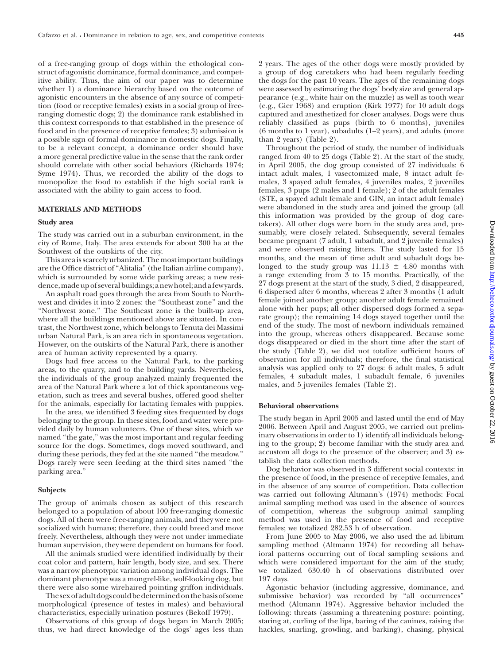of a free-ranging group of dogs within the ethological construct of agonistic dominance, formal dominance, and competitive ability. Thus, the aim of our paper was to determine whether 1) a dominance hierarchy based on the outcome of agonistic encounters in the absence of any source of competition (food or receptive females) exists in a social group of freeranging domestic dogs; 2) the dominance rank established in this context corresponds to that established in the presence of food and in the presence of receptive females; 3) submission is a possible sign of formal dominance in domestic dogs. Finally, to be a relevant concept, a dominance order should have a more general predictive value in the sense that the rank order should correlate with other social behaviors (Richards 1974; Syme 1974). Thus, we recorded the ability of the dogs to monopolize the food to establish if the high social rank is associated with the ability to gain access to food.

# MATERIALS AND METHODS

#### Study area

The study was carried out in a suburban environment, in the city of Rome, Italy. The area extends for about 300 ha at the Southwest of the outskirts of the city.

This area is scarcely urbanized. The most important buildings are the Office district of ''Alitalia'' (the Italian airline company), which is surrounded by some wide parking areas; a new residence,made up of several buildings; a new hotel; and a few yards.

An asphalt road goes through the area from South to Northwest and divides it into 2 zones: the ''Southeast zone'' and the ''Northwest zone.'' The Southeast zone is the built-up area, where all the buildings mentioned above are situated. In contrast, the Northwest zone, which belongs to Tenuta dei Massimi urban Natural Park, is an area rich in spontaneous vegetation. However, on the outskirts of the Natural Park, there is another area of human activity represented by a quarry.

Dogs had free access to the Natural Park, to the parking areas, to the quarry, and to the building yards. Nevertheless, the individuals of the group analyzed mainly frequented the area of the Natural Park where a lot of thick spontaneous vegetation, such as trees and several bushes, offered good shelter for the animals, especially for lactating females with puppies.

In the area, we identified 3 feeding sites frequented by dogs belonging to the group. In these sites, food and water were provided daily by human volunteers. One of these sites, which we named ''the gate,'' was the most important and regular feeding source for the dogs. Sometimes, dogs moved southward, and during these periods, they fed at the site named ''the meadow.'' Dogs rarely were seen feeding at the third sites named ''the parking area.''

## Subjects

The group of animals chosen as subject of this research belonged to a population of about 100 free-ranging domestic dogs. All of them were free-ranging animals, and they were not socialized with humans; therefore, they could breed and move freely. Nevertheless, although they were not under immediate human supervision, they were dependent on humans for food.

All the animals studied were identified individually by their coat color and pattern, hair length, body size, and sex. There was a narrow phenotypic variation among individual dogs. The dominant phenotype was a mongrel-like, wolf-looking dog, but there were also some wirehaired pointing griffon individuals.

The sexofadultdogscouldbedeterminedon thebasisof some morphological (presence of testes in males) and behavioral characteristics, especially urination postures (Bekoff 1979).

Observations of this group of dogs began in March 2005; thus, we had direct knowledge of the dogs' ages less than

2 years. The ages of the other dogs were mostly provided by a group of dog caretakers who had been regularly feeding the dogs for the past 10 years. The ages of the remaining dogs were assessed by estimating the dogs' body size and general appearance (e.g., white hair on the muzzle) as well as tooth wear (e.g., Gier 1968) and eruption (Kirk 1977) for 10 adult dogs captured and anesthetized for closer analyses. Dogs were thus reliably classified as pups (birth to 6 months), juveniles (6 months to 1 year), subadults (1–2 years), and adults (more than 2 years) (Table 2).

Throughout the period of study, the number of individuals ranged from 40 to 25 dogs (Table 2). At the start of the study, in April 2005, the dog group consisted of 27 individuals: 6 intact adult males, 1 vasectomized male, 8 intact adult females, 3 spayed adult females, 4 juveniles males, 2 juveniles females, 3 pups (2 males and 1 female); 2 of the adult females (STE, a spayed adult female and GIN, an intact adult female) were abandoned in the study area and joined the group (all this information was provided by the group of dog caretakers). All other dogs were born in the study area and, presumably, were closely related. Subsequently, several females became pregnant (7 adult, 1 subadult, and 2 juvenile females) and were observed raising litters. The study lasted for 15 months, and the mean of time adult and subadult dogs belonged to the study group was  $11.13 \pm 4.80$  months with a range extending from 3 to 15 months. Practically, of the 27 dogs present at the start of the study, 3 died, 2 disappeared, 6 dispersed after 6 months, whereas 2 after 3 months (1 adult female joined another group; another adult female remained alone with her pups; all other dispersed dogs formed a separate group); the remaining 14 dogs stayed together until the end of the study. The most of newborn individuals remained into the group, whereas others disappeared. Because some dogs disappeared or died in the short time after the start of the study (Table 2), we did not totalize sufficient hours of observation for all individuals; therefore, the final statistical analysis was applied only to 27 dogs: 6 adult males, 5 adult females, 4 subadult males, 1 subadult female, 6 juveniles males, and 5 juveniles females (Table 2).

### Behavioral observations

The study began in April 2005 and lasted until the end of May 2006. Between April and August 2005, we carried out preliminary observations in order to 1) identify all individuals belonging to the group; 2) become familiar with the study area and accustom all dogs to the presence of the observer; and 3) establish the data collection methods.

Dog behavior was observed in 3 different social contexts: in the presence of food, in the presence of receptive females, and in the absence of any source of competition. Data collection was carried out following Altmann's (1974) methods: Focal animal sampling method was used in the absence of sources of competition, whereas the subgroup animal sampling method was used in the presence of food and receptive females; we totalized 282.53 h of observation.

From June 2005 to May 2006, we also used the ad libitum sampling method (Altmann 1974) for recording all behavioral patterns occurring out of focal sampling sessions and which were considered important for the aim of the study; we totalized 630.40 h of observations distributed over 197 days.

Agonistic behavior (including aggressive, dominance, and submissive behavior) was recorded by ''all occurrences'' method (Altmann 1974). Aggressive behavior included the following: threats (assuming a threatening posture: pointing, staring at, curling of the lips, baring of the canines, raising the hackles, snarling, growling, and barking), chasing, physical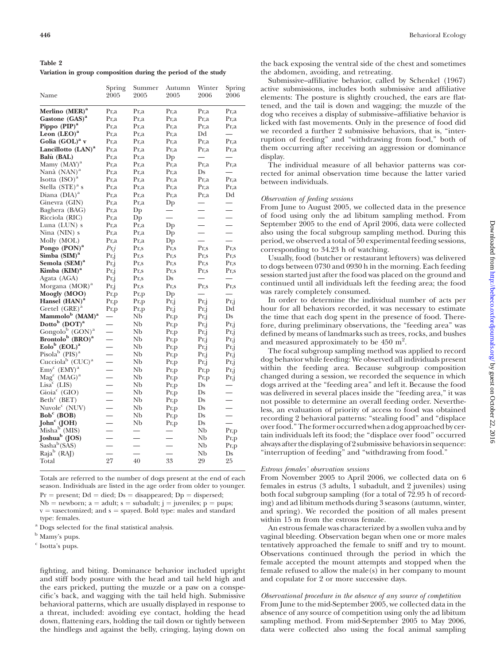Table 2 Variation in group composition during the period of the study

| Name                                                                   | Spring<br>2005           | Summer<br>2005 | Autumn<br>2005           | Winter<br>2006           | Spring<br>2006           |
|------------------------------------------------------------------------|--------------------------|----------------|--------------------------|--------------------------|--------------------------|
| Merlino (MER) <sup>a</sup>                                             | Pr,a                     | Pr,a           | Pr,a                     | Pr,a                     | Pr,a                     |
| Gastone (GAS) <sup>a</sup>                                             | Pr,a                     | Pr,a           | Pr,a                     | Pr,a                     | Pr,a                     |
| Pippo $(PIP)^a$                                                        | Pr,a                     | Pr,a           | Pr,a                     | Pr,a                     | Pr,a                     |
| Leon $(LEO)^a$                                                         | Pr,a                     | Pr,a           | Pr,a                     | $_{\rm Dd}$              |                          |
| Golia $(GOL)^{a}$ v                                                    | Pr,a                     | Pr,a           | Pr,a                     | Pr,a                     | Pr,a                     |
| Lancillotto (LAN) <sup>a</sup>                                         | Pr,a                     | Pr,a           | Pr,a                     | Pr,a                     | Pr,a                     |
| Balù (BAL)                                                             | Pr,a                     | Pr,a           | Dp                       | $\overline{\phantom{0}}$ | $\overline{\phantom{0}}$ |
| Mamy $(MAY)^a$                                                         | Pr,a                     | Pr,a           | Pr,a                     | Pr,a                     | Pr,a                     |
| Nanà (NAN) <sup>a</sup>                                                | Pr,a                     | Pr,a           | Pr,a                     | Ds                       | $\equiv$                 |
| Isotta (ISO) <sup>a</sup>                                              | Pr,a                     | Pr,a           | Pr,a                     | Pr,a                     | Pr,a                     |
| Stella $(STE)^a$ s                                                     | Pr,a                     | Pr,a           | Pr,a                     | Pr,a                     | Pr,a                     |
| Diana $(DIA)^a$                                                        | Pr,a                     | Pr,a           | Pr,a                     | Pr,a                     | $_{\rm Dd}$              |
| Ginevra (GIN)                                                          | Pr,a                     | Pr,a           | Dp                       |                          | $\equiv$                 |
| Baghera (BAG)                                                          | Pr,a                     | Dp             | —                        | $\overline{\phantom{a}}$ | ÷.                       |
| Ricciola (RIC)                                                         | Pr,a                     | Dp             | $\equiv$                 | $\overline{\phantom{0}}$ | $\overline{\phantom{0}}$ |
| Luna (LUN) s                                                           | Pr,a                     | Pr,a           | Dp                       |                          |                          |
| Nina (NIN) s                                                           | Pr,a                     | Pr,a           | Dp                       |                          |                          |
| Molly (MOL)                                                            | Pr,a                     | Pr,a           | Dp                       |                          |                          |
| Pongo (PON) <sup>a</sup>                                               | Pr, j                    | Pr.s           | Pr,s                     | Pr.s                     | Pr.s                     |
| Simba $(SIM)^a$                                                        | Pr.j                     | $Pr_{i,S}$     | Pr,s                     | Pr,s                     | Pr,s                     |
| Semola (SEM) <sup>a</sup>                                              | Pr.j                     | Pr,s           | Pr,s                     | Pr,s                     | Pr,s                     |
| Kimba (KIM) <sup>a</sup>                                               | Pr.j                     | Pr,s           | Pr,s                     | Pr,s                     | Pr,s                     |
| Agata (AGA)                                                            | Pr,j                     | Pr,s           | Ds                       |                          | $\overline{\phantom{0}}$ |
| Morgana $(MOR)^a$                                                      | Pr.j                     | Pr.s           | Pr,s                     | Pr,s                     | Pr,s                     |
| Moogly (MOO)                                                           | Pr,p                     | Pr, p          | Dp                       |                          |                          |
| Hansel (HAN) <sup>a</sup>                                              | Pr,p                     | Pr,p           | Pr,j                     | Pr,j                     | Pr,j                     |
| Gretel $(GRE)^a$                                                       | Pr,p                     | Pr,p           | Pr,j                     | Pr,j                     | Dd                       |
| Mammolo <sup>b</sup> (MAM) <sup>a</sup>                                | $\overline{\phantom{0}}$ | Nb             | Pr,p                     | Pr,j                     | Ds                       |
| Dotto <sup>b</sup> (DOT) <sup>a</sup>                                  |                          | Nb             | Pr,p                     | Pr,j                     | Pr,j                     |
| Gongolo $\rm^b$ (GON) <sup>a</sup>                                     |                          | Nb             | Pr, p                    | Pr,j                     | Pr,j                     |
| Brontolo <sup>b</sup> (BRO) <sup>a</sup>                               |                          | Nb             | Pr, p                    | Pr,j                     | Pr,j                     |
| $\text{Eolo}^{\mathbf{b}}$ (EOL) <sup>a</sup>                          |                          | Nb             | Pr,p                     | Pr,j                     | Pr.j                     |
| $Pisola^{b'} (PIS)^a$                                                  |                          | Nb             | Pr,p                     | Pr,j                     | Pr.j                     |
| Cucciola <sup>b</sup> (CUC) <sup>a</sup><br>$Emy^c$ (EMY) <sup>a</sup> |                          | Nb             | Pr, p                    | Pr,j                     | Pr,j                     |
| $\mathrm{Mag}^c$ (MAG) <sup>a</sup>                                    |                          | Nb<br>Nb       | Pr,p                     | Pr,p                     | Pr.j                     |
|                                                                        |                          | Nb             | Pr, p                    | Pr, p                    | Pr.j                     |
| $\text{Lisa}^c$ (LIS)<br>Gioia <sup>c</sup> (GIO)                      |                          | Nb             | Pr,p                     | Ds<br>Ds                 |                          |
| Beth <sup>c</sup> (BET)                                                |                          | Nb             | Pr,p                     | Ds                       |                          |
| Nuvole $^c$ (NUV)                                                      |                          | Nb             | Pr,p                     | Ds                       |                          |
| Bob <sup>c</sup> (BOB)                                                 | —                        | Nb             | Pr,p                     | Ds                       |                          |
|                                                                        | $\overline{\phantom{0}}$ | Nb             | Pr,p                     | Ds                       | $\overline{\phantom{0}}$ |
| $\text{John}^c(\text{JOH})$<br>Misha <sup>b</sup> (MIS)                | $\overline{\phantom{0}}$ |                | Pr,p                     | Nb                       |                          |
| Joshua <sup>b</sup> (JOS)                                              | $\overline{\phantom{0}}$ |                | $\overline{\phantom{0}}$ | Nb                       | Pr,p                     |
| $Sasha^b(SAS)$                                                         |                          |                |                          | Nb                       | Pr,p                     |
| Raja <sup>b</sup> (RAJ)                                                |                          |                |                          | Nb                       | Pr,p<br>Ds               |
| Total                                                                  | 27                       | 40             | 33                       | 29                       | 25                       |
|                                                                        |                          |                |                          |                          |                          |

Totals are referred to the number of dogs present at the end of each season. Individuals are listed in the age order from older to younger.  $Pr$  = present; Dd = died; Ds = disappeared; Dp = dispersed;

 $Nb = newborn; a = adult; s = subadult; j = juveniles; p = puns;$  $v = v$ asectomized; and  $s =$  spayed. Bold type: males and standard type: females.

<sup>a</sup> Dogs selected for the final statistical analysis.

<sup>b</sup> Mamy's pups.

<sup>c</sup> Isotta's pups.

fighting, and biting. Dominance behavior included upright and stiff body posture with the head and tail held high and the ears pricked, putting the muzzle or a paw on a conspecific's back, and wagging with the tail held high. Submissive behavioral patterns, which are usually displayed in response to a threat, included: avoiding eye contact, holding the head down, flattening ears, holding the tail down or tightly between the hindlegs and against the belly, cringing, laying down on

the back exposing the ventral side of the chest and sometimes the abdomen, avoiding, and retreating.

Submissive–affiliative behavior, called by Schenkel (1967) active submissions, includes both submissive and affiliative elements: The posture is slightly crouched, the ears are flattened, and the tail is down and wagging; the muzzle of the dog who receives a display of submissive–affiliative behavior is licked with fast movements. Only in the presence of food did we recorded a further 2 submissive behaviors, that is, ''interruption of feeding'' and ''withdrawing from food,'' both of them occurring after receiving an aggression or dominance display.

The individual measure of all behavior patterns was corrected for animal observation time because the latter varied between individuals.

# Observation of feeding sessions

From June to August 2005, we collected data in the presence of food using only the ad libitum sampling method. From September 2005 to the end of April 2006, data were collected also using the focal subgroup sampling method. During this period, we observed a total of 50 experimental feeding sessions, corresponding to 34.23 h of watching.

Usually, food (butcher or restaurant leftovers) was delivered to dogs between 0730 and 0930 h in the morning. Each feeding session started just after the food was placed on the ground and continued until all individuals left the feeding area; the food was rarely completely consumed.

In order to determine the individual number of acts per hour for all behaviors recorded, it was necessary to estimate the time that each dog spent in the presence of food. Therefore, during preliminary observations, the "feeding area" was defined by means of landmarks such as trees, rocks, and bushes and measured approximately to be  $450 \text{ m}^2$ .

The focal subgroup sampling method was applied to record dog behavior while feeding: We observed all individuals present within the feeding area. Because subgroup composition changed during a session, we recorded the sequence in which dogs arrived at the ''feeding area'' and left it. Because the food was delivered in several places inside the "feeding area," it was not possible to determine an overall feeding order. Nevertheless, an evaluation of priority of access to food was obtained recording 2 behavioral patterns: ''stealing food'' and ''displace over food.'' The former occurred when a dog approached by certain individuals left its food; the ''displace over food'' occurred always after the displaying of 2 submissive behaviorsin sequence: ''interruption of feeding'' and ''withdrawing from food.''

## Estrous females' observation sessions

From November 2005 to April 2006, we collected data on 6 females in estrus (3 adults, 1 subadult, and 2 juveniles) using both focal subgroup sampling (for a total of 72.95 h of recording) and ad libitum methods during 3 seasons (autumn, winter, and spring). We recorded the position of all males present within 15 m from the estrous female.

An estrous female was characterized by a swollen vulva and by vaginal bleeding. Observation began when one or more males tentatively approached the female to sniff and try to mount. Observations continued through the period in which the female accepted the mount attempts and stopped when the female refused to allow the male(s) in her company to mount and copulate for 2 or more successive days.

# Observational procedure in the absence of any source of competition From June to the mid-September 2005, we collected data in the absence of any source of competition using only the ad libitum sampling method. From mid-September 2005 to May 2006, data were collected also using the focal animal sampling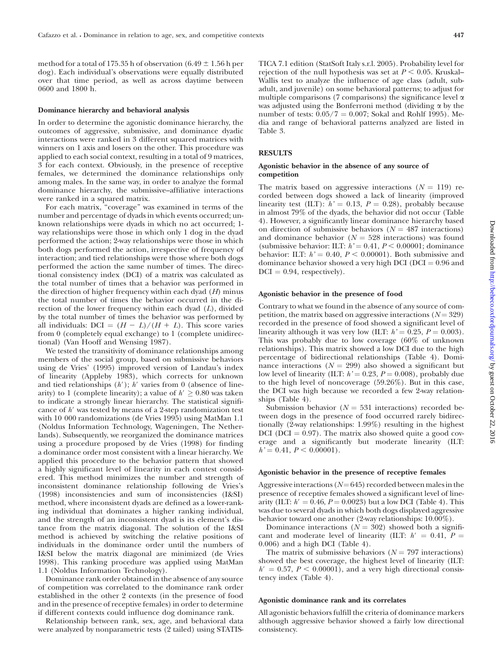method for a total of 175.35 h of observation (6.49  $\pm$  1.56 h per dog). Each individual's observations were equally distributed over that time period, as well as across daytime between 0600 and 1800 h.

## Dominance hierarchy and behavioral analysis

In order to determine the agonistic dominance hierarchy, the outcomes of aggressive, submissive, and dominance dyadic interactions were ranked in 3 different squared matrices with winners on 1 axis and losers on the other. This procedure was applied to each social context, resulting in a total of 9 matrices, 3 for each context. Obviously, in the presence of receptive females, we determined the dominance relationships only among males. In the same way, in order to analyze the formal dominance hierarchy, the submissive–affiliative interactions were ranked in a squared matrix.

For each matrix, "coverage" was examined in terms of the number and percentage of dyads in which events occurred; unknown relationships were dyads in which no act occurred; 1 way relationships were those in which only 1 dog in the dyad performed the action; 2-way relationships were those in which both dogs performed the action, irrespective of frequency of interaction; and tied relationships were those where both dogs performed the action the same number of times. The directional consistency index (DCI) of a matrix was calculated as the total number of times that a behavior was performed in the direction of higher frequency within each dyad  $(H)$  minus the total number of times the behavior occurred in the direction of the lower frequency within each dyad  $(L)$ , divided by the total number of times the behavior was performed by all individuals: DCI =  $(H - L)/(H + L)$ . This score varies from 0 (completely equal exchange) to 1 (complete unidirectional) (Van Hooff and Wensing 1987).

We tested the transitivity of dominance relationships among members of the social group, based on submissive behaviors using de Vries' (1995) improved version of Landau's index of linearity (Appleby 1983), which corrects for unknown and tied relationships  $(h')$ ; h' varies from 0 (absence of linearity) to 1 (complete linearity); a value of  $h' \geq 0.80$  was taken to indicate a strongly linear hierarchy. The statistical significance of  $h'$  was tested by means of a 2-step randomization test with 10 000 randomizations (de Vries 1995) using MatMan 1.1 (Noldus Information Technology, Wageningen, The Netherlands). Subsequently, we reorganized the dominance matrices using a procedure proposed by de Vries (1998) for finding a dominance order most consistent with a linear hierarchy. We applied this procedure to the behavior pattern that showed a highly significant level of linearity in each contest considered. This method minimizes the number and strength of inconsistent dominance relationship following de Vries's (1998) inconsistencies and sum of inconsistencies (I&SI) method, where inconsistent dyads are defined as a lower-ranking individual that dominates a higher ranking individual, and the strength of an inconsistent dyad is its element's distance from the matrix diagonal. The solution of the I&SI method is achieved by switching the relative positions of individuals in the dominance order until the numbers of I&SI below the matrix diagonal are minimized (de Vries 1998). This ranking procedure was applied using MatMan 1.1 (Noldus Information Technology).

Dominance rank order obtained in the absence of any source of competition was correlated to the dominance rank order established in the other 2 contexts (in the presence of food and in the presence of receptive females) in order to determine if different contexts could influence dog dominance rank.

Relationship between rank, sex, age, and behavioral data were analyzed by nonparametric tests (2 tailed) using STATIS- TICA 7.1 edition (StatSoft Italy s.r.l. 2005). Probability level for rejection of the null hypothesis was set at  $P < 0.05$ . Kruskal– Wallis test to analyze the influence of age class (adult, subadult, and juvenile) on some behavioral patterns; to adjust for multiple comparisons (7 comparisons) the significance level  $\alpha$ was adjusted using the Bonferroni method (dividing  $\alpha$  by the number of tests:  $0.05/7 = 0.007$ ; Sokal and Rohlf 1995). Media and range of behavioral patterns analyzed are listed in Table 3.

# **RESULTS**

## Agonistic behavior in the absence of any source of competition

The matrix based on aggressive interactions  $(N = 119)$  recorded between dogs showed a lack of linearity (improved linearity test (ILT):  $h' = 0.13$ ,  $P = 0.28$ ), probably because in almost 79% of the dyads, the behavior did not occur (Table 4). However, a significantly linear dominance hierarchy based on direction of submissive behaviors ( $N = 487$  interactions) and dominance behavior ( $N = 528$  interactions) was found (submissive behavior: ILT:  $h' = 0.41, P < 0.00001$ ; dominance behavior: ILT:  $h' = 0.40$ ,  $P < 0.00001$ ). Both submissive and dominance behavior showed a very high DCI (DCI  $= 0.96$  and  $DCI = 0.94$ , respectively).

## Agonistic behavior in the presence of food

Contrary to what we found in the absence of any source of competition, the matrix based on aggressive interactions  $(N = 329)$ recorded in the presence of food showed a significant level of linearity although it was very low (ILT:  $h' = 0.25$ ,  $P = 0.003$ ). This was probably due to low coverage (60% of unknown relationships). This matrix showed a low DCI due to the high percentage of bidirectional relationships (Table 4). Dominance interactions ( $N = 299$ ) also showed a significant but low level of linearity (ILT:  $h' = 0.23$ ,  $P = 0.008$ ), probably due to the high level of noncoverage (59.26%). But in this case, the DCI was high because we recorded a few 2-way relationships (Table 4).

Submission behavior ( $N = 531$  interactions) recorded between dogs in the presence of food occurred rarely bidirectionally (2-way relationships: 1.99%) resulting in the highest DCI (DCI  $= 0.97$ ). The matrix also showed quite a good coverage and a significantly but moderate linearity (ILT:  $h' = 0.41, P < 0.00001$ .

# Agonistic behavior in the presence of receptive females

Aggressive interactions ( $N=645$ ) recorded between males in the presence of receptive females showed a significant level of linearity (ILT:  $h' = 0.46$ ,  $P = 0.0023$ ) but a low DCI (Table 4). This was due to several dyads in which both dogs displayed aggressive behavior toward one another (2-way relationships: 10.00%).

Dominance interactions ( $N = 302$ ) showed both a significant and moderate level of linearity (ILT:  $h' = 0.41$ ,  $P =$ 0.006) and a high DCI (Table 4).

The matrix of submissive behaviors ( $N = 797$  interactions) showed the best coverage, the highest level of linearity (ILT:  $h' = 0.57, P < 0.00001$ , and a very high directional consistency index (Table 4).

## Agonistic dominance rank and its correlates

All agonistic behaviors fulfill the criteria of dominance markers although aggressive behavior showed a fairly low directional consistency.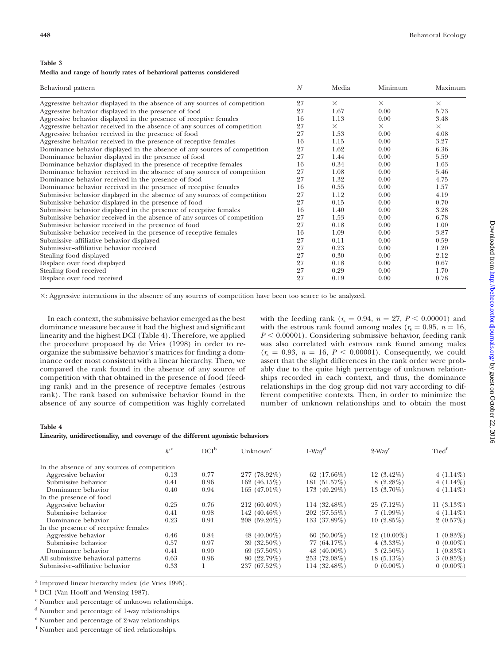## Table 3

## Media and range of hourly rates of behavioral patterns considered

| Behavioral pattern                                                         | $\boldsymbol{N}$ | Media    | Minimum  | Maximum  |
|----------------------------------------------------------------------------|------------------|----------|----------|----------|
| Aggressive behavior displayed in the absence of any sources of competition | 27               | $\times$ | $\times$ | $\times$ |
| Aggressive behavior displayed in the presence of food                      | 27               | 1.67     | 0.00     | 5.73     |
| Aggressive behavior displayed in the presence of receptive females         | 16               | 1.13     | 0.00     | 3.48     |
| Aggressive behavior received in the absence of any sources of competition  | 27               | $\times$ | $\times$ | $\times$ |
| Aggressive behavior received in the presence of food                       | 27               | 1.53     | 0.00     | 4.08     |
| Aggressive behavior received in the presence of receptive females          | 16               | 1.15     | 0.00     | 3.27     |
| Dominance behavior displayed in the absence of any sources of competition  | 27               | 1.62     | 0.00     | 6.36     |
| Dominance behavior displayed in the presence of food                       | 27               | 1.44     | 0.00     | 5.59     |
| Dominance behavior displayed in the presence of receptive females          | 16               | 0.34     | 0.00     | 1.63     |
| Dominance behavior received in the absence of any sources of competition   | 27               | 1.08     | 0.00     | 5.46     |
| Dominance behavior received in the presence of food                        | 27               | 1.32     | 0.00     | 4.75     |
| Dominance behavior received in the presence of receptive females           | 16               | 0.55     | 0.00     | 1.57     |
| Submissive behavior displayed in the absence of any sources of competition | 27               | 1.12     | 0.00     | 4.19     |
| Submissive behavior displayed in the presence of food                      | 27               | 0.15     | 0.00     | 0.70     |
| Submissive behavior displayed in the presence of receptive females         | 16               | 1.40     | 0.00     | 3.28     |
| Submissive behavior received in the absence of any sources of competition  | 27               | 1.53     | 0.00     | 6.78     |
| Submissive behavior received in the presence of food                       | 27               | 0.18     | 0.00     | 1.00     |
| Submissive behavior received in the presence of receptive females          | 16               | 1.09     | 0.00     | 3.87     |
| Submissive-affiliative behavior displayed                                  | 27               | 0.11     | 0.00     | 0.59     |
| Submissive-affiliative behavior received                                   | 27               | 0.23     | 0.00     | 1.20     |
| Stealing food displayed                                                    | 27               | 0.30     | 0.00     | 2.12     |
| Displace over food displayed                                               | 27               | 0.18     | 0.00     | 0.67     |
| Stealing food received                                                     | 27               | 0.29     | 0.00     | 1.70     |
| Displace over food received                                                | 27               | 0.19     | 0.00     | 0.78     |

3: Aggressive interactions in the absence of any sources of competition have been too scarce to be analyzed.

In each context, the submissive behavior emerged as the best dominance measure because it had the highest and significant linearity and the highest DCI (Table 4). Therefore, we applied the procedure proposed by de Vries (1998) in order to reorganize the submissive behavior's matrices for finding a dominance order most consistent with a linear hierarchy. Then, we compared the rank found in the absence of any source of competition with that obtained in the presence of food (feeding rank) and in the presence of receptive females (estrous rank). The rank based on submissive behavior found in the absence of any source of competition was highly correlated with the feeding rank ( $r_s = 0.94$ ,  $n = 27$ ,  $P < 0.00001$ ) and with the estrous rank found among males ( $r_s = 0.95$ ,  $n = 16$ ,  $P < 0.00001$ ). Considering submissive behavior, feeding rank was also correlated with estrous rank found among males  $(r_s = 0.93, n = 16, P < 0.00001)$ . Consequently, we could assert that the slight differences in the rank order were probably due to the quite high percentage of unknown relationships recorded in each context, and thus, the dominance relationships in the dog group did not vary according to different competitive contexts. Then, in order to minimize the number of unknown relationships and to obtain the most

# Table 4

# Linearity, unidirectionality, and coverage of the different agonistic behaviors

|                                              | $h'^{\,a}$ | DCI <sub>p</sub> | Unknown <sup>c</sup> | $1-Way^d$       | $2-Waye$      | Tied <sup>t</sup> |
|----------------------------------------------|------------|------------------|----------------------|-----------------|---------------|-------------------|
| In the absence of any sources of competition |            |                  |                      |                 |               |                   |
| Aggressive behavior                          | 0.13       | 0.77             | 277 (78.92%)         | $62(17.66\%)$   | $12(3.42\%)$  | $4(1.14\%)$       |
| Submissive behavior                          | 0.41       | 0.96             | 162(46.15%)          | 181 (51.57%)    | $8(2.28\%)$   | $4(1.14\%)$       |
| Dominance behavior                           | 0.40       | 0.94             | 165 $(47.01\%)$      | 173 (49.29%)    | 13 $(3.70\%)$ | $4(1.14\%)$       |
| In the presence of food                      |            |                  |                      |                 |               |                   |
| Aggressive behavior                          | 0.25       | 0.76             | $212(60.40\%)$       | 114 (32.48%)    | $25(7.12\%)$  | 11 $(3.13\%)$     |
| Submissive behavior                          | 0.41       | 0.98             | 142 (40.46%)         | 202 (57.55%)    | $7(1.99\%)$   | $4(1.14\%)$       |
| Dominance behavior                           | 0.23       | 0.91             | $208(59.26\%)$       | 133 (37.89%)    | $10(2.85\%)$  | 2(0.57%)          |
| In the presence of receptive females         |            |                  |                      |                 |               |                   |
| Aggressive behavior                          | 0.46       | 0.84             | 48 $(40.00\%)$       | $60(50.00\%)$   | $12(10.00\%)$ | $1(0.83\%)$       |
| Submissive behavior                          | 0.57       | 0.97             | 39 (32.50%)          | 77(64.17%)      | $4(3.33\%)$   | $0(0.00\%)$       |
| Dominance behavior                           | 0.41       | 0.90             | 69 (57.50%)          | 48 $(40.00\%)$  | $3(2.50\%)$   | $1(0.83\%)$       |
| All submissive behavioral patterns           | 0.63       | 0.96             | $80(22.79\%)$        | 253 (72.08%)    | $18(5.13\%)$  | $3(0.85\%)$       |
| Submissive-affiliative behavior              | 0.33       |                  | 237 (67.52%)         | 114 $(32.48\%)$ | $0(0.00\%)$   | $0(0.00\%)$       |

<sup>a</sup> Improved linear hierarchy index (de Vries 1995).

<sup>b</sup> DCI (Van Hooff and Wensing 1987).

<sup>c</sup> Number and percentage of unknown relationships.

<sup>d</sup> Number and percentage of 1-way relationships.

<sup>e</sup> Number and percentage of 2-way relationships.

<sup>f</sup> Number and percentage of tied relationships.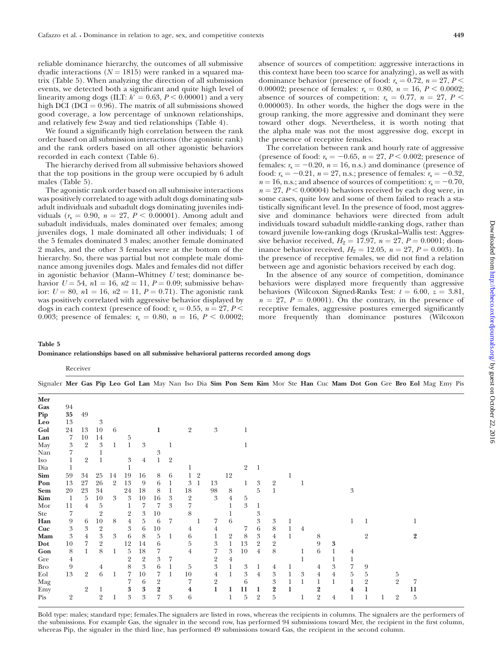reliable dominance hierarchy, the outcomes of all submissive dyadic interactions ( $N = 1815$ ) were ranked in a squared matrix (Table 5). When analyzing the direction of all submission events, we detected both a significant and quite high level of linearity among dogs (ILT:  $h' = 0.63, P < 0.00001$ ) and a very high DCI ( $DCI = 0.96$ ). The matrix of all submissions showed good coverage, a low percentage of unknown relationships, and relatively few 2-way and tied relationships (Table 4).

We found a significantly high correlation between the rank order based on all submission interactions (the agonistic rank) and the rank orders based on all other agonistic behaviors recorded in each context (Table 6).

The hierarchy derived from all submissive behaviors showed that the top positions in the group were occupied by 6 adult males (Table 5).

The agonistic rank order based on all submissive interactions was positively correlated to age with adult dogs dominating subadult individuals and subadult dogs dominating juveniles individuals ( $r_s = 0.90$ ,  $n = 27$ ,  $P < 0.00001$ ). Among adult and subadult individuals, males dominated over females; among juveniles dogs, 1 male dominated all other individuals; 1 of the 5 females dominated 3 males; another female dominated 2 males, and the other 3 females were at the bottom of the hierarchy. So, there was partial but not complete male dominance among juveniles dogs. Males and females did not differ in agonistic behavior (Mann–Whitney U test; dominance behavior  $U = 54$ ,  $n1 = 16$ ,  $n2 = 11$ ,  $P = 0.09$ ; submissive behavior:  $U = 80$ ,  $n1 = 16$ ,  $n2 = 11$ ,  $P = 0.71$ ). The agonistic rank was positively correlated with aggressive behavior displayed by dogs in each context (presence of food:  $r_s = 0.55$ ,  $n = 27$ ,  $P \leq$ 0.003; presence of females:  $r_s = 0.80, n = 16, P < 0.0002$ ; absence of sources of competition: aggressive interactions in this context have been too scarce for analyzing), as well as with dominance behavior (presence of food:  $r_s = 0.72$ ,  $n = 27$ ,  $P <$ 0.00002; presence of females:  $r_s = 0.80$ ,  $n = 16$ ,  $P < 0.0002$ ; absence of sources of competition:  $r_s = 0.77$ ,  $n = 27$ ,  $P <$ 0.000003). In other words, the higher the dogs were in the group ranking, the more aggressive and dominant they were toward other dogs. Nevertheless, it is worth noting that the alpha male was not the most aggressive dog, except in the presence of receptive females.

The correlation between rank and hourly rate of aggressive (presence of food:  $r_s = -0.65$ ,  $n = 27$ ,  $P < 0.002$ ; presence of females:  $r_s = -0.20$ ,  $n = 16$ , n.s.) and dominance (presence of food:  $r_s = -0.21$ ,  $n = 27$ , n.s.; presence of females:  $r_s = -0.32$ ,  $n = 16$ , n.s.; and absence of sources of competition:  $r_s = -0.70$ ,  $n = 27, P < 0.00004$ ) behaviors received by each dog were, in some cases, quite low and some of them failed to reach a statistically significant level. In the presence of food, most aggressive and dominance behaviors were directed from adult individuals toward subadult middle-ranking dogs, rather than toward juvenile low-ranking dogs (Kruskal–Wallis test: Aggressive behavior received,  $H_2 = 17.97$ ,  $n = 27$ ,  $P = 0.0001$ ; dominance behavior received,  $H_2 = 12.05$ ,  $n = 27$ ,  $P = 0.003$ ). In the presence of receptive females, we did not find a relation between age and agonistic behaviors received by each dog.

In the absence of any source of competition, dominance behaviors were displayed more frequently than aggressive behaviors (Wilcoxon Signed-Ranks Test:  $t = 6.00$ ,  $z = 3.81$ ,  $n = 27$ ,  $P = 0.0001$ ). On the contrary, in the presence of receptive females, aggressive postures emerged significantly more frequently than dominance postures (Wilcoxon

# Table 5 Dominance relationships based on all submissive behavioral patterns recorded among dogs

Receiver

| Signaler Mer Gas Pip Leo Gol Lan May Nan Iso Dia Sim Pon Sem Kim Mor Ste Han Cuc Mam Dot Gon Gre Bro Eol Mag Emy Pis |  |  |  |  |  |  |  |  |  |  |  |  |  |  |
|----------------------------------------------------------------------------------------------------------------------|--|--|--|--|--|--|--|--|--|--|--|--|--|--|
|                                                                                                                      |  |  |  |  |  |  |  |  |  |  |  |  |  |  |

| Mer          |                  |                  |                  |                |                  |                           |                           |                |                  |                |                |                |                           |                         |   |                |                |                  |   |                |                |                |  |
|--------------|------------------|------------------|------------------|----------------|------------------|---------------------------|---------------------------|----------------|------------------|----------------|----------------|----------------|---------------------------|-------------------------|---|----------------|----------------|------------------|---|----------------|----------------|----------------|--|
| Gas          | 94               |                  |                  |                |                  |                           |                           |                |                  |                |                |                |                           |                         |   |                |                |                  |   |                |                |                |  |
| Pip          | 35               | 49               |                  |                |                  |                           |                           |                |                  |                |                |                |                           |                         |   |                |                |                  |   |                |                |                |  |
| Leo          | 13               |                  | 3                |                |                  |                           |                           |                |                  |                |                |                |                           |                         |   |                |                |                  |   |                |                |                |  |
| Gol          | 24               | 13               | 10               | 6              |                  |                           | $\mathbf{1}$              |                | $\overline{2}$   | $\mathfrak{Z}$ |                | 1              |                           |                         |   |                |                |                  |   |                |                |                |  |
| Lan          | 7                | 10               | 14               |                | 5                |                           |                           |                |                  |                |                |                |                           |                         |   |                |                |                  |   |                |                |                |  |
| May          | $\boldsymbol{3}$ | $\overline{2}$   | $\mathfrak{Z}$   | 1              | $\mathbf 1$      | 3                         |                           | $\mathbf{1}$   |                  |                |                |                |                           |                         |   |                |                |                  |   |                |                |                |  |
| Nan          | 7                |                  | 1                |                |                  |                           | 3                         |                |                  |                |                |                |                           |                         |   |                |                |                  |   |                |                |                |  |
| Iso          | 1                | $\overline{2}$   |                  |                | 3                | $\overline{4}$            |                           | $\overline{2}$ |                  |                |                |                |                           |                         |   |                |                |                  |   |                |                |                |  |
| Dia          | 1                |                  |                  |                |                  |                           |                           |                |                  |                |                | $\overline{2}$ | 1                         |                         |   |                |                |                  |   |                |                |                |  |
| Sim          | 59               | 34               | 25               | 14             | 19               | 16                        | 8                         | 6              | $\overline{2}$   |                | 12             |                |                           |                         | 1 |                |                |                  |   |                |                |                |  |
| Pon          | 13               | 27               | 26               | $\overline{2}$ | 13               | 9                         | $\,6\,$                   | 1              | 3<br>-1          | 13             |                | 1              | $\boldsymbol{3}$          | $\overline{2}$          |   |                |                |                  |   |                |                |                |  |
| Sem          | 20               | 23               | 34               |                | 24               | 18                        | 8                         | 1              | 18               | 98             | 8              |                | $\overline{5}$            |                         |   |                |                |                  | 3 |                |                |                |  |
| Kim          | 1                | $\overline{5}$   | 10               | 3              | 3                | 10                        | 16                        | 3              | $\,2$            | 3              | $\overline{4}$ | $5\,$          |                           |                         |   |                |                |                  |   |                |                |                |  |
| Mor          | 11               | $\overline{4}$   | $\overline{5}$   |                | 1                | 7                         | 7                         | 3              | $\overline{7}$   |                | 1              | 3              | 1                         |                         |   |                |                |                  |   |                |                |                |  |
| Ste          | 7                |                  | $\overline{2}$   |                | $\overline{2}$   | 3                         | 10                        |                | 8                |                | 1              |                | $\boldsymbol{3}$          |                         |   |                |                |                  |   |                |                |                |  |
| Han          | $\overline{9}$   | 6                | $10\,$           | 8              | $\overline{4}$   | 5                         | $\,6\,$                   | 7              | 1                | 7              | $\,6\,$        |                | $\boldsymbol{\mathrm{3}}$ | 3                       | 1 |                |                |                  | 1 | $\mathbf{1}$   |                | 1              |  |
| Cuc          | $\boldsymbol{3}$ | $\boldsymbol{3}$ | $\sqrt{2}$       |                | $\boldsymbol{3}$ | 6                         | 10                        |                | 4                | 4              |                | 7              | $\,6\,$                   | 8                       | 1 | $\overline{4}$ |                |                  |   |                |                |                |  |
| Mam          | $\boldsymbol{3}$ | 4                | $\boldsymbol{3}$ | 3              | 6                | 8                         | $5\,$                     | 1              | 6                | $\mathbf 1$    | $\overline{2}$ | $\,8\,$        | $\boldsymbol{\mathrm{3}}$ | $\overline{4}$          | 1 |                | 8              |                  |   | $\overline{2}$ |                | $\overline{2}$ |  |
| Dot          | $10\,$           | 7                | $\sqrt{2}$       |                | 12               | 14                        | 6                         |                | 5                | 3              | $\mathbf{1}$   | 13             | $\overline{2}$            | $\overline{2}$          |   |                | 9              | 3                |   |                |                |                |  |
| Gon          | 8                | 1                | 8                | 1              | $\overline{5}$   | 18                        | $\overline{7}$            |                | $\overline{4}$   | 7              | 3              | 10             | $\overline{4}$            | 8                       |   | 1              | 6              | 1                | 4 |                |                |                |  |
| Gre          | $\overline{4}$   |                  |                  |                | $\overline{2}$   | $\sqrt{2}$                | $\boldsymbol{\mathrm{3}}$ | 7              |                  | $\overline{2}$ | $\overline{4}$ |                |                           |                         |   | 1              |                | 1                |   |                |                |                |  |
| Bro          | 9                |                  | 4                |                | $\,$ 8 $\,$      | $\boldsymbol{\mathrm{3}}$ | $\,6\,$                   | 1              | 5                | $\mathfrak{B}$ | 1              | 3              | 1                         | 4                       | 1 |                | 4              | $\boldsymbol{3}$ | 7 | 9              |                |                |  |
| Eol          | 13               | $\overline{2}$   | $\,6\,$          | 1              | 7                | 10                        | 7                         | 1              | 10               | 4              | $\mathbf{1}$   | 3              | $\overline{4}$            | 3                       |   | 3              | $\overline{4}$ | $\overline{4}$   | 5 | 5              | 5              |                |  |
| $_{\rm Mag}$ |                  |                  |                  |                | 7                | 6                         | $\overline{2}$            |                | 7                | $\overline{2}$ |                | 6              |                           | 3                       |   |                |                | 1                |   | $\overline{2}$ | $\overline{2}$ | 7              |  |
| Emy          |                  | $\overline{2}$   |                  |                | $\boldsymbol{3}$ | 3                         | $\overline{\mathbf{2}}$   |                | $\boldsymbol{4}$ | 1              | 1              | 11             | 1                         | $\overline{\mathbf{2}}$ | 1 |                | 2              |                  | 4 |                |                | 11             |  |
| Pis          | $\overline{2}$   |                  | $\overline{2}$   |                | 3                | 3                         | $\overline{7}$            | 3              | 6                |                | 1              | 5              | $\overline{2}$            | $\overline{5}$          |   | 1              | $\overline{2}$ | $\overline{4}$   |   |                | $\overline{2}$ | 5              |  |
|              |                  |                  |                  |                |                  |                           |                           |                |                  |                |                |                |                           |                         |   |                |                |                  |   |                |                |                |  |

Bold type: males; standard type; females.The signalers are listed in rows, whereas the recipients in columns. The signalers are the performers of the submissions. For example Gas, the signaler in the second row, has performed 94 submissions toward Mer, the recipient in the first column, whereas Pip, the signaler in the third line, has performed 49 submissions toward Gas, the recipient in the second column.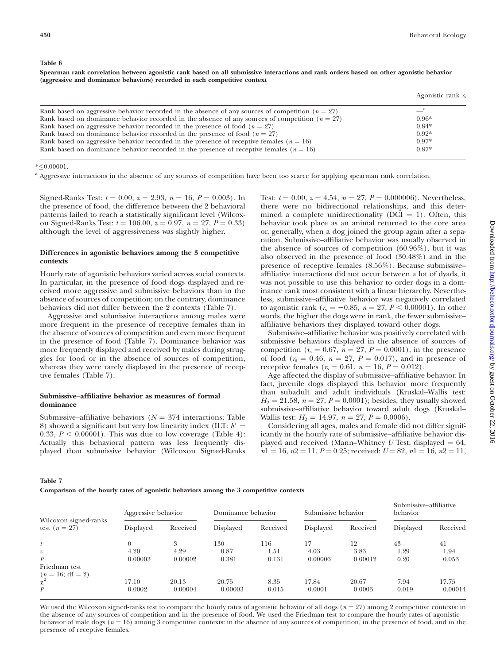Table 6

Spearman rank correlation between agonistic rank based on all submissive interactions and rank orders based on other agonistic behavior (aggressive and dominance behaviors) recorded in each competitive context

|                                                                                                    | Agonistic rank $r_s$ |
|----------------------------------------------------------------------------------------------------|----------------------|
| Rank based on aggressive behavior recorded in the absence of any sources of competition $(n = 27)$ |                      |
| Rank based on dominance behavior recorded in the absence of any sources of competition $(n = 27)$  | $0.96*$              |
| Rank based on aggressive behavior recorded in the presence of food ( $n = 27$ )                    | $0.84*$              |
| Rank based on dominance behavior recorded in the presence of food $(n = 27)$                       | $0.92*$              |
| Rank based on aggressive behavior recorded in the presence of receptive females ( $n = 16$ )       | $0.97*$              |
| Rank based on dominance behavior recorded in the presence of receptive females ( $n = 16$ )        | $0.87*$              |

 $* \leq 0.00001$ .

<sup>a</sup> Aggressive interactions in the absence of any sources of competition have been too scarce for applying spearman rank correlation.

Signed-Ranks Test:  $t = 0.00$ ,  $z = 2.93$ ,  $n = 16$ ,  $P = 0.003$ ). In the presence of food, the difference between the 2 behavioral patterns failed to reach a statistically significant level (Wilcoxon Signed-Ranks Test:  $t = 106.00$ ,  $z = 0.97$ ,  $n = 27$ ,  $P = 0.33$ ) although the level of aggressiveness was slightly higher.

# Differences in agonistic behaviors among the 3 competitive contexts

Hourly rate of agonistic behaviors varied across social contexts. In particular, in the presence of food dogs displayed and received more aggressive and submissive behaviors than in the absence of sources of competition; on the contrary, dominance behaviors did not differ between the 2 contexts (Table 7).

Aggressive and submissive interactions among males were more frequent in the presence of receptive females than in the absence of sources of competition and even more frequent in the presence of food (Table 7). Dominance behavior was more frequently displayed and received by males during struggles for food or in the absence of sources of competition, whereas they were rarely displayed in the presence of receptive females (Table 7).

# Submissive–affiliative behavior as measures of formal dominance

Submissive–affiliative behaviors ( $N = 374$  interactions; Table 8) showed a significant but very low linearity index (ILT:  $h' =$ 0.33,  $P \le 0.00001$ ). This was due to low coverage (Table 4): Actually this behavioral pattern was less frequently displayed than submissive behavior (Wilcoxon Signed-Ranks

Test:  $t = 0.00$ ,  $z = 4.54$ ,  $n = 27$ ,  $P = 0.000006$ ). Nevertheless, there were no bidirectional relationships, and this determined a complete unidirectionality ( $DCI = 1$ ). Often, this behavior took place as an animal returned to the core area or, generally, when a dog joined the group again after a separation. Submissive–affiliative behavior was usually observed in the absence of sources of competition (60.96%), but it was also observed in the presence of food (30.48%) and in the presence of receptive females (8.56%). Because submissive– affiliative interactions did not occur between a lot of dyads, it was not possible to use this behavior to order dogs in a dominance rank most consistent with a linear hierarchy. Nevertheless, submissive–affiliative behavior was negatively correlated to agonistic rank ( $r_s = -0.85$ ,  $n = 27$ ,  $P < 0.00001$ ). In other words, the higher the dogs were in rank, the fewer submissive– affiliative behaviors they displayed toward other dogs.

Submissive–affiliative behavior was positively correlated with submissive behaviors displayed in the absence of sources of competition ( $r_s = 0.67$ ,  $n = 27$ ,  $P = 0.0001$ ), in the presence of food ( $r_s = 0.46$ ,  $n = 27$ ,  $P = 0.017$ ), and in presence of receptive females ( $r_s = 0.61$ ,  $n = 16$ ,  $P = 0.012$ ).

Age affected the display of submissive–affiliative behavior. In fact, juvenile dogs displayed this behavior more frequently than subadult and adult individuals (Kruskal–Wallis test:  $H_2 = 21.58$ ,  $n = 27$ ,  $P = 0.0001$ ; besides, they usually showed submissive–affiliative behavior toward adult dogs (Kruskal– Wallis test:  $H_2 = 14.97$ ,  $n = 27$ ,  $P = 0.0006$ .

Considering all ages, males and female did not differ significantly in the hourly rate of submissive–affiliative behavior displayed and received (Mann–Whitney  $U$  Test; displayed = 64,  $n1 = 16$ ,  $n2 = 11$ ,  $P = 0.25$ ; received:  $U = 82$ ,  $n1 = 16$ ,  $n2 = 11$ ,

## Table 7

Comparison of the hourly rates of agonistic behaviors among the 3 competitive contexts

|                                          | Aggressive behavior |                  | Dominance behavior |               | Submissive behavior |                 | Submissive-affiliative<br>behavior |                  |  |  |
|------------------------------------------|---------------------|------------------|--------------------|---------------|---------------------|-----------------|------------------------------------|------------------|--|--|
| Wilcoxon signed-ranks<br>test $(n = 27)$ | Displayed           | Received         | Displayed          | Received      | Displayed           | Received        | Displayed                          | Received         |  |  |
|                                          |                     | 3                | 130                | 116           | 17                  | 12              | 43                                 | 41               |  |  |
| z                                        | 4.20                | 4.29             | 0.87               | 1.51          | 4.03                | 3.83            | 1.29                               | 1.94             |  |  |
| P                                        | 0.00003             | 0.00002          | 0.381              | 0.131         | 0.00006             | 0.00012         | 0.20                               | 0.053            |  |  |
| Friedman test                            |                     |                  |                    |               |                     |                 |                                    |                  |  |  |
| $(n = 16; df = 2)$                       | 17.10<br>0.0002     | 20.13<br>0.00004 | 20.75<br>0.00003   | 8.35<br>0.015 | 17.84<br>0.0001     | 20.67<br>0.0003 | 7.94<br>0.019                      | 17.75<br>0.00014 |  |  |
|                                          |                     |                  |                    |               |                     |                 |                                    |                  |  |  |

We used the Wilcoxon signed-ranks test to compare the hourly rates of agonistic behavior of all dogs ( $n = 27$ ) among 2 competitive contexts: in the absence of any sources of competition and in the presence of food. We used the Friedman test to compare the hourly rates of agonistic behavior of male dogs  $(n = 16)$  among 3 competitive contexts: in the absence of any sources of competition, in the presence of food, and in the presence of receptive females.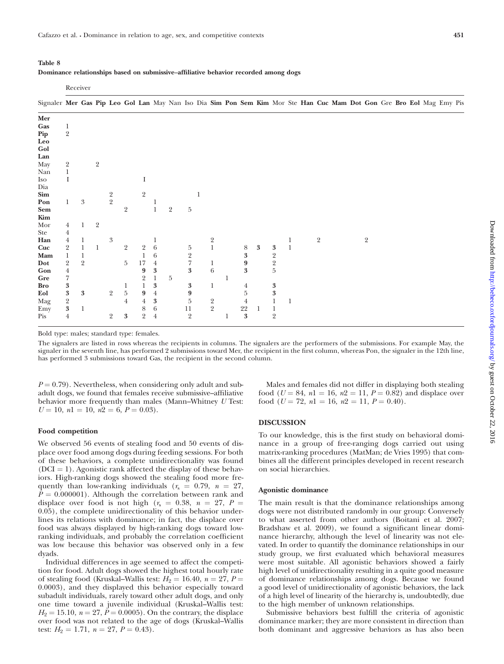### Dominance relationships based on submissive–affiliative behavior recorded among dogs

Receiver

Signaler Mer Gas Pip Leo Gol Lan May Nan Iso Dia Sim Pon Sem Kim Mor Ste Han Cuc Mam Dot Gon Gre Bro Eol Mag Emy Pis

| Mer                           |                                               |                  |              |                                              |                  |                  |                  |       |                  |                                              |              |                         |              |                                            |              |            |            |  |
|-------------------------------|-----------------------------------------------|------------------|--------------|----------------------------------------------|------------------|------------------|------------------|-------|------------------|----------------------------------------------|--------------|-------------------------|--------------|--------------------------------------------|--------------|------------|------------|--|
| Gas                           | $\frac{1}{2}$                                 |                  |              |                                              |                  |                  |                  |       |                  |                                              |              |                         |              |                                            |              |            |            |  |
| $_{\rm{Pip}}$                 |                                               |                  |              |                                              |                  |                  |                  |       |                  |                                              |              |                         |              |                                            |              |            |            |  |
| Leo                           |                                               |                  |              |                                              |                  |                  |                  |       |                  |                                              |              |                         |              |                                            |              |            |            |  |
| Gol                           |                                               |                  |              |                                              |                  |                  |                  |       |                  |                                              |              |                         |              |                                            |              |            |            |  |
| Lan                           |                                               |                  |              |                                              |                  |                  |                  |       |                  |                                              |              |                         |              |                                            |              |            |            |  |
| May                           | $\overline{\mathbf{2}}$                       |                  | $\sqrt{2}$   |                                              |                  |                  |                  |       |                  |                                              |              |                         |              |                                            |              |            |            |  |
| Nan                           | $\mathbf 1$                                   |                  |              |                                              |                  |                  |                  |       |                  |                                              |              |                         |              |                                            |              |            |            |  |
| Iso                           | $\bf I$                                       |                  |              |                                              |                  | I                |                  |       |                  |                                              |              |                         |              |                                            |              |            |            |  |
| Dia                           |                                               |                  |              |                                              |                  |                  |                  |       |                  |                                              |              |                         |              |                                            |              |            |            |  |
| $\operatorname{\mathbf{Sim}}$ |                                               |                  |              | $\begin{smallmatrix} 2\\2 \end{smallmatrix}$ |                  | $\sqrt{2}$       |                  |       | $\,1$            |                                              |              |                         |              |                                            |              |            |            |  |
| Pon                           | $\mathbf{1}$                                  | $\,3$            |              |                                              |                  |                  | 1                |       |                  |                                              |              |                         |              |                                            |              |            |            |  |
| Sem                           |                                               |                  |              |                                              | $\sqrt{2}$       |                  | $\mathbf 1$      | $\,2$ | $\bf 5$          |                                              |              |                         |              |                                            |              |            |            |  |
| $\operatorname{Kim}$          |                                               |                  |              |                                              |                  |                  |                  |       |                  |                                              |              |                         |              |                                            |              |            |            |  |
| Mor                           | $\overline{4}$                                | 1                | $\sqrt{2}$   |                                              |                  |                  |                  |       |                  |                                              |              |                         |              |                                            |              |            |            |  |
| <b>Ste</b>                    | $\overline{4}$                                |                  |              |                                              |                  |                  |                  |       |                  |                                              |              |                         |              |                                            |              |            |            |  |
| Han                           | $\overline{4}$                                | 1                |              | $\,3$                                        |                  |                  | 1                |       |                  | $\begin{smallmatrix} 2\\1 \end{smallmatrix}$ |              |                         |              |                                            | 1            | $\sqrt{2}$ | $\sqrt{2}$ |  |
| Cuc                           | $\overline{2}$                                | $\mathbf{1}$     | $\mathbf{1}$ |                                              | $\sqrt{2}$       | $\sqrt{2}$       | $\,6\,$          |       | $\bf 5$          |                                              |              | $\,8\,$                 | $\sqrt{3}$   | $\sqrt{3}$                                 | $\,1\,$      |            |            |  |
| $\mathbf{Mam}$                | $\mathbf{1}$                                  | $\mathbf{1}$     |              |                                              |                  | 1                | $\,6\,$          |       | $\frac{2}{7}$    |                                              |              | $\overline{\mathbf{3}}$ |              |                                            |              |            |            |  |
| Dot                           | $\overline{2}$                                | $\overline{2}$   |              |                                              | $\bf 5$          | 17               | $\overline{4}$   |       |                  | $\mathbf{1}$                                 |              | $\frac{9}{3}$           |              | $\begin{array}{c} 2 \\ 2 \\ 5 \end{array}$ |              |            |            |  |
| Gon                           | $\frac{4}{7}$                                 |                  |              |                                              |                  | $\boldsymbol{9}$ | $\boldsymbol{3}$ |       | $\boldsymbol{3}$ | 6                                            |              |                         |              |                                            |              |            |            |  |
| Gre                           |                                               |                  |              |                                              |                  | $\sqrt{2}$       | $\,1$            | $5\,$ |                  |                                              | $\mathbf{1}$ |                         |              |                                            |              |            |            |  |
| <b>Bro</b>                    | $\frac{3}{3}$                                 |                  |              |                                              | 1                | $\,1$            | $\boldsymbol{3}$ |       | $\boldsymbol{3}$ | $\mathbf{1}$                                 |              | $\overline{4}$          |              | $\frac{3}{3}$                              |              |            |            |  |
| Eol                           |                                               | $\boldsymbol{3}$ |              | $\,2$                                        | $\bf 5$          | $\boldsymbol{9}$ | $\overline{4}$   |       | $\boldsymbol{9}$ |                                              |              | $\overline{5}$          |              |                                            |              |            |            |  |
| Mag                           | $\begin{smallmatrix} 2\\ 3 \end{smallmatrix}$ |                  |              |                                              | $\overline{4}$   | $\overline{4}$   | $\boldsymbol{3}$ |       | $\overline{5}$   | $\overline{2}$                               |              | $\overline{4}$          |              | $\mathbf{1}$                               | $\mathbf{1}$ |            |            |  |
| Emy                           |                                               | $\mathbf{1}$     |              |                                              |                  | 8                | $\,6\,$          |       | $11\,$           | $\,2$                                        |              | 22                      | $\mathbf{1}$ | $\mathbf 1$                                |              |            |            |  |
| Pis                           | $\overline{4}$                                |                  |              | $\,2$                                        | $\boldsymbol{3}$ | $\sqrt{2}$       | $\overline{4}$   |       | $\sqrt{2}$       |                                              | 1            | $\sqrt{3}$              |              | $\sqrt{2}$                                 |              |            |            |  |
|                               |                                               |                  |              |                                              |                  |                  |                  |       |                  |                                              |              |                         |              |                                            |              |            |            |  |

Bold type: males; standard type: females.

The signalers are listed in rows whereas the recipients in columns. The signalers are the performers of the submissions. For example May, the signaler in the seventh line, has performed 2 submissions toward Mer, the recipient in the first column, whereas Pon, the signaler in the 12th line, has performed 3 submissions toward Gas, the recipient in the second column.

 $P = 0.79$ ). Nevertheless, when considering only adult and subadult dogs, we found that females receive submissive–affiliative behavior more frequently than males (Mann–Whitney U Test:  $U = 10$ ,  $n1 = 10$ ,  $n2 = 6$ ,  $P = 0.03$ ).

## Food competition

We observed 56 events of stealing food and 50 events of displace over food among dogs during feeding sessions. For both of these behaviors, a complete unidirectionality was found  $(DCI = 1)$ . Agonistic rank affected the display of these behaviors. High-ranking dogs showed the stealing food more frequently than low-ranking individuals ( $r_s = 0.79$ ,  $n = 27$ ,  $\bar{P} = 0.000001$ . Although the correlation between rank and displace over food is not high ( $r_s = 0.38$ ,  $n = 27$ ,  $P =$ 0.05), the complete unidirectionality of this behavior underlines its relations with dominance; in fact, the displace over food was always displayed by high-ranking dogs toward lowranking individuals, and probably the correlation coefficient was low because this behavior was observed only in a few dyads.

Individual differences in age seemed to affect the competition for food. Adult dogs showed the highest total hourly rate of stealing food (Kruskal–Wallis test:  $H_2 = 16.40$ ,  $n = 27$ ,  $P =$ 0.0003), and they displayed this behavior especially toward subadult individuals, rarely toward other adult dogs, and only one time toward a juvenile individual (Kruskal–Wallis test:  $H_2 = 15.10$ ,  $n = 27$ ,  $P = 0.0005$ ). On the contrary, the displace over food was not related to the age of dogs (Kruskal–Wallis test:  $H_2 = 1.71$ ,  $n = 27$ ,  $P = 0.43$ ).

Males and females did not differ in displaying both stealing food ( $U = 84$ ,  $n1 = 16$ ,  $n2 = 11$ ,  $P = 0.82$ ) and displace over food  $(U = 72, n1 = 16, n2 = 11, P = 0.40)$ .

## DISCUSSION

To our knowledge, this is the first study on behavioral dominance in a group of free-ranging dogs carried out using matrix-ranking procedures (MatMan; de Vries 1995) that combines all the different principles developed in recent research on social hierarchies.

### Agonistic dominance

The main result is that the dominance relationships among dogs were not distributed randomly in our group: Conversely to what asserted from other authors (Boitani et al. 2007; Bradshaw et al. 2009), we found a significant linear dominance hierarchy, although the level of linearity was not elevated. In order to quantify the dominance relationships in our study group, we first evaluated which behavioral measures were most suitable. All agonistic behaviors showed a fairly high level of unidirectionality resulting in a quite good measure of dominance relationships among dogs. Because we found a good level of unidirectionality of agonistic behaviors, the lack of a high level of linearity of the hierarchy is, undoubtedly, due to the high member of unknown relationships.

Submissive behaviors best fulfill the criteria of agonistic dominance marker; they are more consistent in direction than both dominant and aggressive behaviors as has also been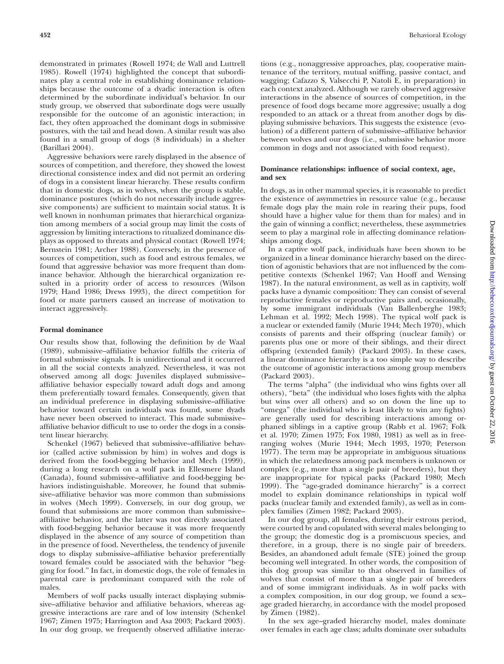demonstrated in primates (Rowell 1974; de Wall and Luttrell 1985). Rowell (1974) highlighted the concept that subordinates play a central role in establishing dominance relationships because the outcome of a dyadic interaction is often determined by the subordinate individual's behavior. In our study group, we observed that subordinate dogs were usually responsible for the outcome of an agonistic interaction; in fact, they often approached the dominant dogs in submissive postures, with the tail and head down. A similar result was also found in a small group of dogs (8 individuals) in a shelter (Barillari 2004).

Aggressive behaviors were rarely displayed in the absence of sources of competition, and therefore, they showed the lowest directional consistence index and did not permit an ordering of dogs in a consistent linear hierarchy. These results confirm that in domestic dogs, as in wolves, when the group is stable, dominance postures (which do not necessarily include aggressive components) are sufficient to maintain social status. It is well known in nonhuman primates that hierarchical organization among members of a social group may limit the costs of aggression by limiting interactions to ritualized dominance displays as opposed to threats and physical contact (Rowell 1974; Bernstein 1981; Archer 1988). Conversely, in the presence of sources of competition, such as food and estrous females, we found that aggressive behavior was more frequent than dominance behavior. Although the hierarchical organization resulted in a priority order of access to resources (Wilson 1979; Hand 1986; Drews 1993), the direct competition for food or mate partners caused an increase of motivation to interact aggressively.

## Formal dominance

Our results show that, following the definition by de Waal (1989), submissive–affiliative behavior fulfills the criteria of formal submissive signals. It is unidirectional and it occurred in all the social contexts analyzed. Nevertheless, it was not observed among all dogs: Juveniles displayed submissive– affiliative behavior especially toward adult dogs and among them preferentially toward females. Consequently, given that an individual preference in displaying submissive–affiliative behavior toward certain individuals was found, some dyads have never been observed to interact. This made submissive– affiliative behavior difficult to use to order the dogs in a consistent linear hierarchy.

Schenkel (1967) believed that submissive–affiliative behavior (called active submission by him) in wolves and dogs is derived from the food-begging behavior and Mech (1999), during a long research on a wolf pack in Ellesmere Island (Canada), found submissive–affiliative and food-begging behaviors indistinguishable. Moreover, he found that submissive–affiliative behavior was more common than submissions in wolves (Mech 1999). Conversely, in our dog group, we found that submissions are more common than submissive– affiliative behavior, and the latter was not directly associated with food-begging behavior because it was more frequently displayed in the absence of any source of competition than in the presence of food. Nevertheless, the tendency of juvenile dogs to display submissive–affiliative behavior preferentially toward females could be associated with the behavior ''begging for food.'' In fact, in domestic dogs, the role of females in parental care is predominant compared with the role of males.

Members of wolf packs usually interact displaying submissive–affiliative behavior and affiliative behaviors, whereas aggressive interactions are rare and of low intensity (Schenkel 1967; Zimen 1975; Harrington and Asa 2003; Packard 2003). In our dog group, we frequently observed affiliative interactions (e.g., nonaggressive approaches, play, cooperative maintenance of the territory, mutual sniffing, passive contact, and wagging; Cafazzo S, Valsecchi P, Natoli E, in preparation) in each context analyzed. Although we rarely observed aggressive interactions in the absence of sources of competition, in the presence of food dogs became more aggressive; usually a dog responded to an attack or a threat from another dogs by displaying submissive behaviors. This suggests the existence (evolution) of a different pattern of submissive–affiliative behavior between wolves and our dogs (i.e., submissive behavior more common in dogs and not associated with food request).

## Dominance relationships: influence of social context, age, and sex

In dogs, as in other mammal species, it is reasonable to predict the existence of asymmetries in resource value (e.g., because female dogs play the main role in rearing their pups, food should have a higher value for them than for males) and in the gain of winning a conflict; nevertheless, these asymmetries seem to play a marginal role in affecting dominance relationships among dogs.

In a captive wolf pack, individuals have been shown to be organized in a linear dominance hierarchy based on the direction of agonistic behaviors that are not influenced by the competitive contexts (Schenkel 1967; Van Hooff and Wensing 1987). In the natural environment, as well as in captivity, wolf packs have a dynamic composition: They can consist of several reproductive females or reproductive pairs and, occasionally, by some immigrant individuals (Van Ballenberghe 1983; Lehman et al. 1992; Mech 1998). The typical wolf pack is a nuclear or extended family (Murie 1944; Mech 1970), which consists of parents and their offspring (nuclear family) or parents plus one or more of their siblings, and their direct offspring (extended family) (Packard 2003). In these cases, a linear dominance hierarchy is a too simple way to describe the outcome of agonistic interactions among group members (Packard 2003).

The terms "alpha" (the individual who wins fights over all others), ''beta'' (the individual who loses fights with the alpha but wins over all others) and so on down the line up to "omega" (the individual who is least likely to win any fights) are generally used for describing interactions among orphaned siblings in a captive group (Rabb et al. 1967; Folk et al. 1970; Zimen 1975; Fox 1980, 1981) as well as in freeranging wolves (Murie 1944; Mech 1993, 1970; Peterson 1977). The term may be appropriate in ambiguous situations in which the relatedness among pack members is unknown or complex (e.g., more than a single pair of breeders), but they are inappropriate for typical packs (Packard 1980; Mech 1999). The ''age-graded dominance hierarchy'' is a correct model to explain dominance relationships in typical wolf packs (nuclear family and extended family), as well as in complex families (Zimen 1982; Packard 2003).

In our dog group, all females, during their estrous period, were courted by and copulated with several males belonging to the group; the domestic dog is a promiscuous species, and therefore, in a group, there is no single pair of breeders. Besides, an abandoned adult female (STE) joined the group becoming well integrated. In other words, the composition of this dog group was similar to that observed in families of wolves that consist of more than a single pair of breeders and of some immigrant individuals. As in wolf packs with a complex composition, in our dog group, we found a sex– age graded hierarchy, in accordance with the model proposed by Zimen (1982).

In the sex age–graded hierarchy model, males dominate over females in each age class; adults dominate over subadults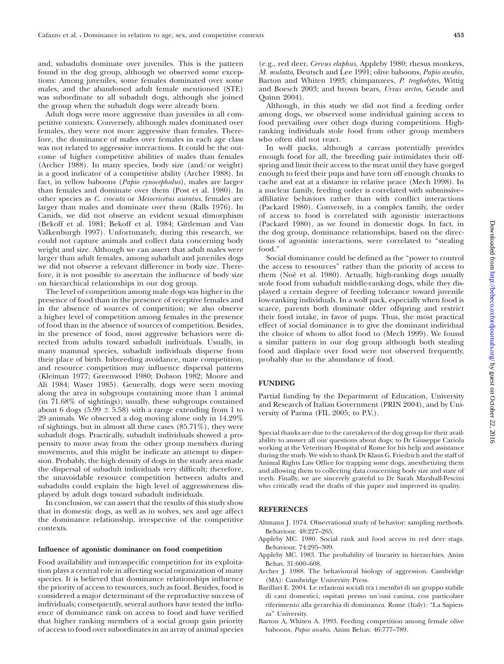and, subadults dominate over juveniles. This is the pattern found in the dog group, although we observed some exceptions: Among juveniles, some females dominated over some males, and the abandoned adult female mentioned (STE) was subordinate to all subadult dogs, although she joined the group when the subadult dogs were already born.

Adult dogs were more aggressive than juveniles in all competitive contexts. Conversely, although males dominated over females, they were not more aggressive than females. Therefore, the dominance of males over females in each age class was not related to aggressive interactions. It could be the outcome of higher competitive abilities of males than females (Archer 1988). In many species, body size (and/or weight) is a good indicator of a competitive ability (Archer 1988). In fact, in yellow baboons (Papio cynocephalus), males are larger than females and dominate over them (Post et al. 1980). In other species as C. crocuta or Mesocricetus auratus, females are larger than males and dominate over them (Ralls 1976). In Canids, we did not observe an evident sexual dimorphism (Bekoff et al. 1981; Bekoff et al. 1984; Gittleman and Van Valkenburgh 1997). Unfortunately, during this research, we could not capture animals and collect data concerning body weight and size. Although we can assert that adult males were larger than adult females, among subadult and juveniles dogs we did not observe a relevant difference in body size. Therefore, it is not possible to ascertain the influence of body size on hierarchical relationships in our dog group.

The level of competition among male dogs was higher in the presence of food than in the presence of receptive females and in the absence of sources of competition; we also observe a higher level of competition among females in the presence of food than in the absence of sources of competition. Besides, in the presence of food, most aggressive behaviors were directed from adults toward subadult individuals. Usually, in many mammal species, subadult individuals disperse from their place of birth. Inbreeding avoidance, mate competition, and resource competition may influence dispersal patterns (Kleiman 1977; Greenwood 1980; Dobson 1982; Moore and Ali 1984; Waser 1985). Generally, dogs were seen moving along the area in subgroups containing more than 1 animal (in 71.68% of sightings); usually, these subgroups contained about 6 dogs (5.99  $\pm$  5.58) with a range extending from 1 to 29 animals. We observed a dog moving alone only in 14.29% of sightings, but in almost all these cases  $(85.71\%)$ , they were subadult dogs. Practically, subadult individuals showed a propensity to move away from the other group members during movements, and this might be indicate an attempt to dispersion. Probably, the high density of dogs in the study area made the dispersal of subadult individuals very difficult; therefore, the unavoidable resource competition between adults and subadults could explain the high level of aggressiveness displayed by adult dogs toward subadult individuals.

In conclusion, we can assert that the results of this study show that in domestic dogs, as well as in wolves, sex and age affect the dominance relationship, irrespective of the competitive contexts.

#### Influence of agonistic dominance on food competition

Food availability and intraspecific competition for its exploitation plays a central role in affecting social organization of many species. It is believed that dominance relationships influence the priority of access to resources, such as food. Besides, food is considered a major determinant of the reproductive success of individuals; consequently, several authors have tested the influence of dominance rank on access to food and have verified that higher ranking members of a social group gain priority of access to food over subordinates in an array of animal species

(e.g., red deer, Cervus elaphus, Appleby 1980; rhesus monkeys, M. mulatta, Deutsch and Lee 1991; olive baboons, Papio anubis, Barton and Whiten 1993; chimpanzees, P. troglodytes, Wittig and Boesch 2003; and brown bears, Ursus arctos, Gende and Quinn 2004).

Although, in this study we did not find a feeding order among dogs, we observed some individual gaining access to food prevailing over other dogs during competitions. Highranking individuals stole food from other group members who often did not react.

In wolf packs, although a carcass potentially provides enough food for all, the breeding pair intimidates their offspring and limit their access to the meat until they have gorged enough to feed their pups and have torn off enough chunks to cache and eat at a distance in relative peace (Mech 1998). In a nuclear family, feeding order is correlated with submissive– affiliative behaviors rather than with conflict interactions (Packard 1980). Conversely, in a complex family, the order of access to food is correlated with agonistic interactions (Packard 1980), as we found in domestic dogs. In fact, in the dog group, dominance relationships, based on the directions of agonistic interactions, were correlated to ''stealing food.''

Social dominance could be defined as the ''power to control the access to resources'' rather than the priority of access to them (Noë et al. 1980). Actually, high-ranking dogs usually stole food from subadult middle-ranking dogs, while they displayed a certain degree of feeding tolerance toward juvenile low-ranking individuals. In a wolf pack, especially when food is scarce, parents both dominate older offspring and restrict their food intake, in favor of pups. Thus, the most practical effect of social dominance is to give the dominant individual the choice of whom to allot food to (Mech 1999). We found a similar pattern in our dog group although both stealing food and displace over food were not observed frequently, probably due to the abundance of food.

# FUNDING

Partial funding by the Department of Education, University and Research of Italian Government (PRIN 2004), and by University of Parma (FIL 2005; to P.V.).

Special thanks are due to the caretakers of the dog group for their availability to answer all our questions about dogs; to Dr Giuseppe Cariola working at the Veterinary Hospital of Rome for his help and assistance during the study. We wish to thank Dr Klaus G. Friedrich and the staff of Animal Rights Law Office for trapping some dogs, anesthetizing them and allowing them to collecting data concerning body size and state of teeth. Finally, we are sincerely grateful to Dr Sarah Marshall-Pescini who critically read the drafts of this paper and improved its quality.

# REFERENCES

- Altmann J. 1974. Observational study of behavior: sampling methods. Behaviour. 48:227–265.
- Appleby MC. 1980. Social rank and food access in red deer stags. Behaviour. 74:295–309.
- Appleby MC. 1983. The probability of linearity in hierarchies. Anim Behav. 31:600–608.
- Archer J. 1988. The behavioural biology of aggression. Cambridge (MA): Cambridge University Press.
- Barillari E. 2004. Le relazioni sociali tra i membri di un gruppo stabile di cani domestici, ospitati presso un'oasi canina, con particolare riferimento alla gerarchia di dominanza. Rome (Italy): ''La Sapienza'' University.
- Barton A, Whiten A. 1993. Feeding competition among female olive baboons, Papio anubis. Anim Behav. 46:777–789.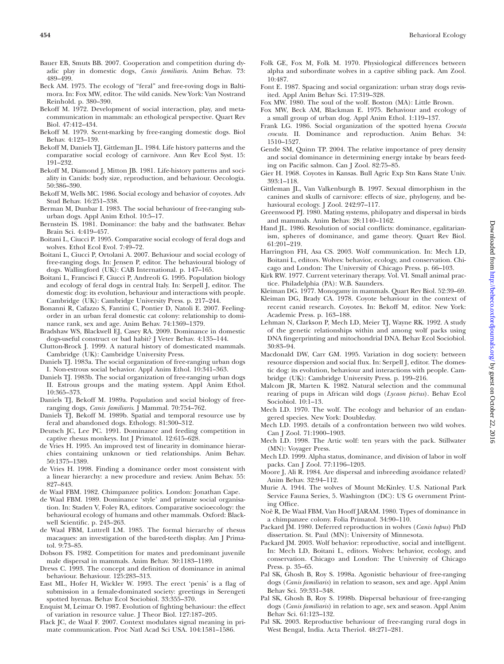- Bauer EB, Smuts BB. 2007. Cooperation and competition during dyadic play in domestic dogs, Canis familiaris. Anim Behav. 73: 489–499.
- Beck AM. 1975. The ecology of ''feral'' and free-roving dogs in Baltimora. In: Fox MW, editor. The wild canids. New York: Van Nostrand Reinhold. p. 380–390.
- Bekoff M. 1972. Development of social interaction, play, and metacommunication in mammals: an ethological perspective. Quart Rev Biol. 47:412–434.
- Bekoff M. 1979. Scent-marking by free-ranging domestic dogs. Biol Behav. 4:123–139.
- Bekoff M, Daniels TJ, Gittleman JL. 1984. Life history patterns and the comparative social ecology of carnivore. Ann Rev Ecol Syst. 15: 191–232.
- Bekoff M, Diamond J, Mitton JB. 1981. Life-history patterns and sociality in Canids: body size, reproduction, and behaviour. Oecologia. 50:386–390.
- Bekoff M, Wells MC. 1986. Social ecology and behavior of coyotes. Adv Stud Behav. 16:251–338.
- Berman M, Dunbar I. 1983. The social behaviour of free-ranging suburban dogs. Appl Anim Ethol. 10:5–17.
- Bernstein IS. 1981. Dominance: the baby and the bathwater. Behav Brain Sci. 4:419–457.
- Boitani L, Ciucci P. 1995. Comparative social ecology of feral dogs and wolves. Ethol Ecol Evol. 7:49–72.
- Boitani L, Ciucci P, Ortolani A. 2007. Behaviour and social ecology of free-ranging dogs. In: Jensen P, editor. The behavioural biology of dogs. Wallingford (UK): CAB International. p. 147–165.
- Boitani L, Francisci F, Ciucci P, Andreoli G. 1995. Population biology and ecology of feral dogs in central Italy. In: Serpell J, editor. The domestic dog: its evolution, behaviour and interactions with people. Cambridge (UK): Cambridge University Press. p. 217–244.
- Bonanni R, Cafazzo S, Fantini C, Pontier D, Natoli E. 2007. Feelingorder in an urban feral domestic cat colony: relationship to dominance rank, sex and age. Anim Behav. 74:1369–1379.
- Bradshaw WS, Blackwell EJ, Casey RA. 2009. Dominance in domestic dogs-useful construct or bad habit? J Veter Behav. 4:135–144.
- Clutton-Brock J. 1999. A natural history of domesticated mammals. Cambridge (UK): Cambridge University Press.
- Daniels TJ. 1983a. The social organization of free-ranging urban dogs I. Non-estrous social behavior. Appl Anim Ethol. 10:341–363.
- Daniels TJ. 1983b. The social organization of free-ranging urban dogs II. Estrous groups and the mating system. Appl Anim Ethol. 10:365–373.
- Daniels TJ, Bekoff M. 1989a. Population and social biology of freeranging dogs, Canis familiaris. J Mammal. 70:754–762.
- Daniels TJ, Bekoff M. 1989b. Spatial and temporal resource use by feral and abandoned dogs. Ethology. 81:300–312.
- Deutsch JC, Lee PC. 1991. Dominance and feeding competition in captive rhesus monkeys. Int J Primatol. 12:615–628.
- de Vries H. 1995. An improved test of linearity in dominance hierarchies containing unknown or tied relationships. Anim Behav. 50:1375–1389.
- de Vries H. 1998. Finding a dominance order most consistent with a linear hierarchy: a new procedure and review. Anim Behav. 55: 827–843.
- de Waal FBM. 1982. Chimpanzee politics. London: Jonathan Cape.
- de Waal FBM. 1989. Dominance 'style' and primate social organisation. In: Staden V, Foley RA, editors. Comparative socioecology: the behavioural ecology of humans and other mammals. Oxford: Blackwell Scientific. p. 243–263.
- de Waal FBM, Luttrell LM. 1985. The formal hierarchy of rhesus macaques: an investigation of the bared-teeth display. Am J Primatol. 9:73–85.
- Dobson FS. 1982. Competition for mates and predominant juvenile male dispersal in mammals. Anim Behav. 30:1183–1189.
- Drews C. 1993. The concept and definition of dominance in animal behaviour. Behaviour. 125:283–313.
- East ML, Hofer H, Wickler W. 1993. The erect 'penis' is a flag of submission in a female-dominated society: greetings in Serengeti spotted hyenas. Behav Ecol Sociobiol. 33:355–370.
- Enquist M, Leimar O. 1987. Evolution of fighting behaviour: the effect of variation in resource value. J Theor Biol. 127:187–205.
- Flack JC, de Waal F. 2007. Context modulates signal meaning in primate communication. Proc Natl Acad Sci USA. 104:1581–1586.
- Folk GE, Fox M, Folk M. 1970. Physiological differences between alpha and subordinate wolves in a captive sibling pack. Am Zool. 10:487.
- Font E. 1987. Spacing and social organization: urban stray dogs revisited. Appl Anim Behav Sci. 17:319–328.
- Fox MW. 1980. The soul of the wolf. Boston (MA): Little Brown.
- Fox MW, Beck AM, Blackman E. 1975. Behaviour and ecology of a small group of urban dog. Appl Anim Ethol. 1:119–137.
- Frank LG. 1986. Social organization of the spotted hyena Crocuta crocuta. II. Dominance and reproduction. Anim Behav. 34: 1510–1527.
- Gende SM, Quinn TP. 2004. The relative importance of prey density and social dominance in determining energy intake by bears feeding on Pacific salmon. Can J Zool. 82:75–85.
- Gier H. 1968. Coyotes in Kansas. Bull Agric Exp Stn Kans State Univ. 393:1–118.
- Gittleman JL, Van Valkenburgh B. 1997. Sexual dimorphism in the canines and skulls of carnivore: effects of size, phylogeny, and behavioural ecology. J Zool. 242:97–117.
- Greenwood PJ. 1980. Mating systems, philopatry and dispersal in birds and mammals. Anim Behav. 28:1140–1162.
- Hand JL. 1986. Resolution of social conflicts: dominance, egalitarianism, spheres of dominance, and game theory. Quart Rev Biol. 61:201–219.
- Harrington FH, Asa CS. 2003. Wolf communication. In: Mech LD, Boitani L, editors. Wolves: behavior, ecology, and conservation. Chicago and London: The University of Chicago Press. p. 66–103.
- Kirk RW. 1977. Current veterinary therapy. Vol. VI. Small animal practice. Philadelphia (PA): W.B. Saunders.
- Kleiman DG. 1977. Monogamy in mammals. Quart Rev Biol. 52:39–69.
- Kleiman DG, Brady CA. 1978. Coyote behaviour in the context of recent canid research. Coyotes. In: Bekoff M, editor. New York: Academic Press. p. 163–188.
- Lehman N, Clarkson P, Mech LD, Meier TJ, Wayne RK. 1992. A study of the genetic relationships within and among wolf packs using DNA fingerprinting and mitochondrial DNA. Behav Ecol Sociobiol. 30:83–94.
- Macdonald DW, Carr GM. 1995. Variation in dog society: between resource dispersion and social flux. In: Serpell J, editor. The domestic dog: its evolution, behaviour and interactions with people. Cambridge (UK): Cambridge University Press. p. 199–216.
- Malcom JR, Marten K. 1982. Natural selection and the communal rearing of pups in African wild dogs (Lycaon pictus). Behav Ecol Sociobiol. 10:1–13.
- Mech LD. 1970. The wolf. The ecology and behavior of an endangered species. New York: Doubleday.
- Mech LD. 1993. details of a confrontation between two wild wolves. Can J Zool. 71:1900–1903.
- Mech LD. 1998. The Artic wolf: ten years with the pack. Stillwater (MN): Voyager Press.
- Mech LD. 1999. Alpha status, dominance, and division of labor in wolf packs. Can J Zool. 77:1196–1203.
- Moore J, Ali R. 1984. Are dispersal and inbreeding avoidance related? Anim Behav. 32:94–112.
- Murie A. 1944. The wolves of Mount McKinley. U.S. National Park Service Fauna Series, 5. Washington (DC): US G overnment Printing Office.
- Noe¨ R, De Waal FBM, Van Hooff JARAM. 1980. Types of dominance in a chimpanzee colony. Folia Primatol. 34:90–110.
- Packard JM. 1980. Deferred reproduction in wolves (Canis lupus) PhD dissertation. St. Paul (MN): University of Minnesota.
- Packard JM. 2003. Wolf behavior: reproductive, social and intelligent. In: Mech LD, Boitani L, editors. Wolves: behavior, ecology, and conservation. Chicago and London: The University of Chicago Press. p. 35–65.
- Pal SK, Ghosh B, Roy S. 1998a. Agonistic behaviour of free-ranging dogs (Canis familiaris) in relation to season, sex and age. Appl Anim Behav Sci. 59:331–348.
- Pal SK, Ghosh B, Roy S. 1998b. Dispersal behaviour of free-ranging dogs (Canis familiaris) in relation to age, sex and season. Appl Anim Behav Sci. 61:123–132.
- Pal SK. 2003. Reproductive behaviour of free-ranging rural dogs in West Bengal, India. Acta Theriol. 48:271–281.